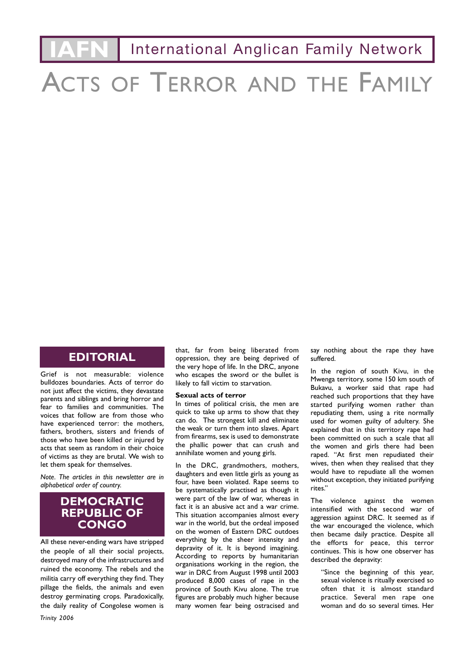**International Anglican Family Network** 

# ACTS OF TERROR AND THE FAMILY

#### **EDITORIAL**

Grief is not measurable: violence bulldozes boundaries. Acts of terror do not just affect the victims, they devastate parents and siblings and bring horror and fear to families and communities. The voices that follow are from those who have experienced terror: the mothers, fathers, brothers, sisters and friends of those who have been killed or injured by acts that seem as random in their choice of victims as they are brutal. We wish to let them speak for themselves.

*Note. The articles in this newsletter are in alphabetical order of country.*

#### **DEMOCRATIC REPUBLIC OF CONGO**

All these never-ending wars have stripped the people of all their social projects, destroyed many of the infrastructures and ruined the economy. The rebels and the militia carry off everything they find. They pillage the fields, the animals and even destroy germinating crops. Paradoxically, the daily reality of Congolese women is

likely to fall victim to starvation. **Sexual acts of terror** In times of political crisis, the men are quick to take up arms to show that they

can do. The strongest kill and eliminate the weak or turn them into slaves. Apart from firearms, sex is used to demonstrate the phallic power that can crush and annihilate women and young girls.

that, far from being liberated from oppression, they are being deprived of the very hope of life. In the DRC, anyone who escapes the sword or the bullet is

In the DRC, grandmothers, mothers, daughters and even little girls as young as four, have been violated. Rape seems to be systematically practised as though it were part of the law of war, whereas in fact it is an abusive act and a war crime. This situation accompanies almost every war in the world, but the ordeal imposed on the women of Eastern DRC outdoes everything by the sheer intensity and depravity of it. It is beyond imagining. According to reports by humanitarian organisations working in the region, the war in DRC from August 1998 until 2003 produced 8,000 cases of rape in the province of South Kivu alone. The true figures are probably much higher because many women fear being ostracised and

say nothing about the rape they have suffered.

In the region of south Kivu, in the Mwenga territory, some 150 km south of Bukavu, a worker said that rape had reached such proportions that they have started purifying women rather than repudiating them, using a rite normally used for women guilty of adultery. She explained that in this territory rape had been committed on such a scale that all the women and girls there had been raped. "At first men repudiated their wives, then when they realised that they would have to repudiate all the women without exception, they initiated purifying rites."

The violence against the women intensified with the second war of aggression against DRC. It seemed as if the war encouraged the violence, which then became daily practice. Despite all the efforts for peace, this terror continues. This is how one observer has described the depravity:

"Since the beginning of this year, sexual violence is ritually exercised so often that it is almost standard practice. Several men rape one woman and do so several times. Her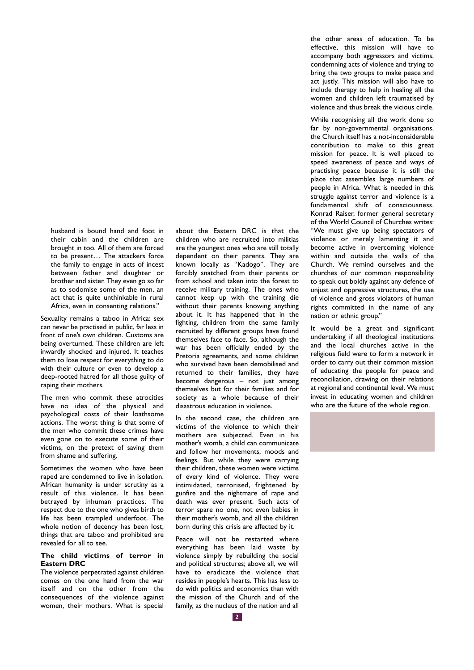husband is bound hand and foot in their cabin and the children are brought in too. All of them are forced to be present… The attackers force the family to engage in acts of incest between father and daughter or brother and sister. They even go so far as to sodomise some of the men, an act that is quite unthinkable in rural Africa, even in consenting relations."

Sexuality remains a taboo in Africa: sex can never be practised in public, far less in front of one's own children. Customs are being overturned. These children are left inwardly shocked and injured. It teaches them to lose respect for everything to do with their culture or even to develop a deep-rooted hatred for all those guilty of raping their mothers.

The men who commit these atrocities have no idea of the physical and psychological costs of their loathsome actions. The worst thing is that some of the men who commit these crimes have even gone on to execute some of their victims, on the pretext of saving them from shame and suffering.

Sometimes the women who have been raped are condemned to live in isolation. African humanity is under scrutiny as a result of this violence. It has been betrayed by inhuman practices. The respect due to the one who gives birth to life has been trampled underfoot. The whole notion of decency has been lost, things that are taboo and prohibited are revealed for all to see.

#### **The child victims of terror in Eastern DRC**

The violence perpetrated against children comes on the one hand from the war itself and on the other from the consequences of the violence against women, their mothers. What is special about the Eastern DRC is that the children who are recruited into militias are the youngest ones who are still totally dependent on their parents. They are known locally as "Kadogo". They are forcibly snatched from their parents or from school and taken into the forest to receive military training. The ones who cannot keep up with the training die without their parents knowing anything about it. It has happened that in the fighting, children from the same family recruited by different groups have found themselves face to face. So, although the war has been officially ended by the Pretoria agreements, and some children who survived have been demobilised and returned to their families, they have become dangerous – not just among themselves but for their families and for society as a whole because of their disastrous education in violence.

In the second case, the children are victims of the violence to which their mothers are subjected. Even in his mother's womb, a child can communicate and follow her movements, moods and feelings. But while they were carrying their children, these women were victims of every kind of violence. They were intimidated, terrorised, frightened by gunfire and the nightmare of rape and death was ever present. Such acts of terror spare no one, not even babies in their mother's womb, and all the children born during this crisis are affected by it.

Peace will not be restarted where everything has been laid waste by violence simply by rebuilding the social and political structures; above all, we will have to eradicate the violence that resides in people's hearts. This has less to do with politics and economics than with the mission of the Church and of the family, as the nucleus of the nation and all the other areas of education. To be effective, this mission will have to accompany both aggressors and victims, condemning acts of violence and trying to bring the two groups to make peace and act justly. This mission will also have to include therapy to help in healing all the women and children left traumatised by violence and thus break the vicious circle.

While recognising all the work done so far by non-governmental organisations, the Church itself has a not-inconsiderable contribution to make to this great mission for peace. It is well placed to speed awareness of peace and ways of practising peace because it is still the place that assembles large numbers of people in Africa. What is needed in this struggle against terror and violence is a fundamental shift of consciousness. Konrad Raiser, former general secretary of the World Council of Churches writes: "We must give up being spectators of violence or merely lamenting it and become active in overcoming violence within and outside the walls of the Church. We remind ourselves and the churches of our common responsibility to speak out boldly against any defence of unjust and oppressive structures, the use of violence and gross violators of human rights committed in the name of any nation or ethnic group."

It would be a great and significant undertaking if all theological institutions and the local churches active in the religious field were to form a network in order to carry out their common mission of educating the people for peace and reconciliation, drawing on their relations at regional and continental level. We must invest in educating women and children who are the future of the whole region.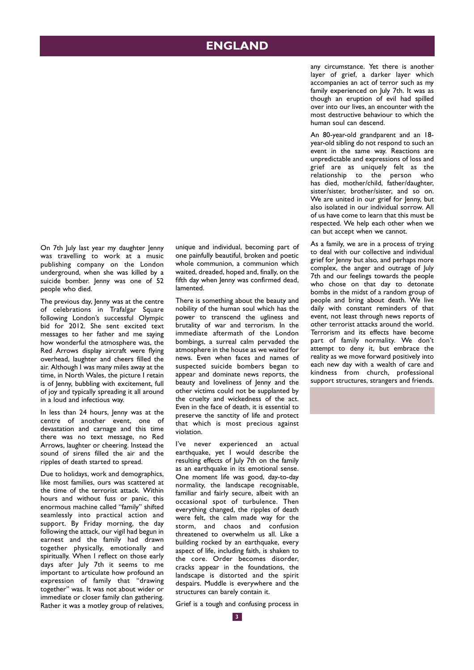# **ENGLAND**

any circumstance. Yet there is another layer of grief, a darker layer which accompanies an act of terror such as my family experienced on July 7th. It was as though an eruption of evil had spilled over into our lives, an encounter with the most destructive behaviour to which the human soul can descend.

An 80-year-old grandparent and an 18 year-old sibling do not respond to such an event in the same way. Reactions are unpredictable and expressions of loss and grief are as uniquely felt as the relationship to the person who has died, mother/child, father/daughter, sister/sister, brother/sister, and so on. We are united in our grief for lenny, but also isolated in our individual sorrow. All of us have come to learn that this must be respected. We help each other when we can but accept when we cannot.

As a family, we are in a process of trying to deal with our collective and individual grief for Jenny but also, and perhaps more complex, the anger and outrage of July 7th and our feelings towards the people who chose on that day to detonate bombs in the midst of a random group of people and bring about death. We live daily with constant reminders of that event, not least through news reports of other terrorist attacks around the world. Terrorism and its effects have become part of family normality. We don't attempt to deny it, but embrace the reality as we move forward positively into each new day with a wealth of care and kindness from church, professional support structures, strangers and friends.

On 7th July last year my daughter Jenny was travelling to work at a music publishing company on the London underground, when she was killed by a suicide bomber. Jenny was one of 52 people who died.

The previous day, lenny was at the centre of celebrations in Trafalgar Square following London's successful Olympic bid for 2012. She sent excited text messages to her father and me saying how wonderful the atmosphere was, the Red Arrows display aircraft were flying overhead, laughter and cheers filled the air. Although I was many miles away at the time, in North Wales, the picture I retain is of Jenny, bubbling with excitement, full of joy and typically spreading it all around in a loud and infectious way.

In less than 24 hours, Jenny was at the centre of another event, one of devastation and carnage and this time there was no text message, no Red Arrows, laughter or cheering. Instead the sound of sirens filled the air and the ripples of death started to spread.

Due to holidays, work and demographics, like most families, ours was scattered at the time of the terrorist attack. Within hours and without fuss or panic, this enormous machine called "family" shifted seamlessly into practical action and support. By Friday morning, the day following the attack, our vigil had begun in earnest and the family had drawn together physically, emotionally and spiritually. When I reflect on those early days after July 7th it seems to me important to articulate how profound an expression of family that "drawing together" was. It was not about wider or immediate or closer family clan gathering. Rather it was a motley group of relatives, unique and individual, becoming part of one painfully beautiful, broken and poetic whole communion, a communion which waited, dreaded, hoped and, finally, on the fifth day when Jenny was confirmed dead, lamented.

There is something about the beauty and nobility of the human soul which has the power to transcend the ugliness and brutality of war and terrorism. In the immediate aftermath of the London bombings, a surreal calm pervaded the atmosphere in the house as we waited for news. Even when faces and names of suspected suicide bombers began to appear and dominate news reports, the beauty and loveliness of Jenny and the other victims could not be supplanted by the cruelty and wickedness of the act. Even in the face of death, it is essential to preserve the sanctity of life and protect that which is most precious against violation.

I've never experienced an actual earthquake, yet I would describe the resulting effects of July 7th on the family as an earthquake in its emotional sense. One moment life was good, day-to-day normality, the landscape recognisable, familiar and fairly secure, albeit with an occasional spot of turbulence. Then everything changed, the ripples of death were felt, the calm made way for the storm, and chaos and confusion threatened to overwhelm us all. Like a building rocked by an earthquake, every aspect of life, including faith, is shaken to the core. Order becomes disorder, cracks appear in the foundations, the landscape is distorted and the spirit despairs. Muddle is everywhere and the structures can barely contain it.

Grief is a tough and confusing process in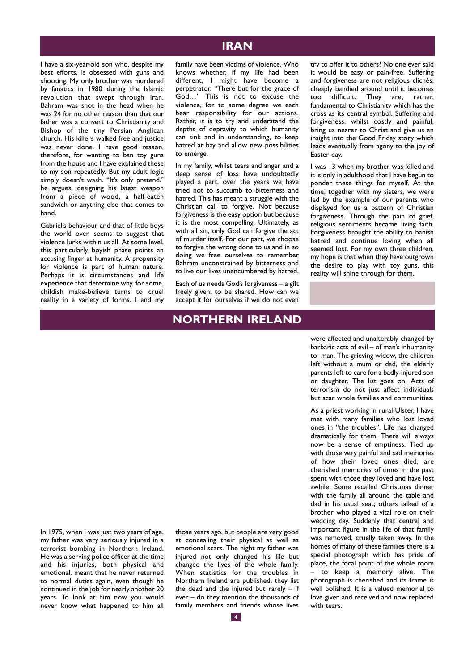#### **IRAN**

I have a six-year-old son who, despite my best efforts, is obsessed with guns and shooting. My only brother was murdered by fanatics in 1980 during the Islamic revolution that swept through Iran. Bahram was shot in the head when he was 24 for no other reason than that our father was a convert to Christianity and Bishop of the tiny Persian Anglican church. His killers walked free and justice was never done. I have good reason, therefore, for wanting to ban toy guns from the house and I have explained these to my son repeatedly. But my adult logic simply doesn't wash. "It's only pretend." he argues, designing his latest weapon from a piece of wood, a half-eaten sandwich or anything else that comes to hand.

Gabriel's behaviour and that of little boys the world over, seems to suggest that violence lurks within us all. At some level, this particularly boyish phase points an accusing finger at humanity. A propensity for violence is part of human nature. Perhaps it is circumstances and life experience that determine why, for some, childish make-believe turns to cruel reality in a variety of forms. I and my family have been victims of violence. Who knows whether, if my life had been different, I might have become a perpetrator. "There but for the grace of God…" This is not to excuse the violence, for to some degree we each bear responsibility for our actions. Rather, it is to try and understand the depths of depravity to which humanity can sink and in understanding, to keep hatred at bay and allow new possibilities to emerge.

In my family, whilst tears and anger and a deep sense of loss have undoubtedly played a part, over the years we have tried not to succumb to bitterness and hatred. This has meant a struggle with the Christian call to forgive. Not because forgiveness is the easy option but because it is the most compelling. Ultimately, as with all sin, only God can forgive the act of murder itself. For our part, we choose to forgive the wrong done to us and in so doing we free ourselves to remember Bahram unconstrained by bitterness and to live our lives unencumbered by hatred.

Each of us needs God's forgiveness – a gift freely given, to be shared. How can we accept it for ourselves if we do not even

#### **NORTHERN IRELAND**

try to offer it to others? No one ever said it would be easy or pain-free. Suffering and forgiveness are not religious clichés, cheaply bandied around until it becomes too difficult. They are, rather, fundamental to Christianity which has the cross as its central symbol. Suffering and forgiveness, whilst costly and painful, bring us nearer to Christ and give us an insight into the Good Friday story which leads eventually from agony to the joy of Easter day.

I was 13 when my brother was killed and it is only in adulthood that I have begun to ponder these things for myself. At the time, together with my sisters, we were led by the example of our parents who displayed for us a pattern of Christian forgiveness. Through the pain of grief, religious sentiments became living faith. Forgiveness brought the ability to banish hatred and continue loving when all seemed lost. For my own three children, my hope is that when they have outgrown the desire to play with toy guns, this reality will shine through for them.

barbaric acts of evil – of man's inhumanity to man. The grieving widow, the children left without a mum or dad, the elderly parents left to care for a badly-injured son or daughter. The list goes on. Acts of terrorism do not just affect individuals but scar whole families and communities.

were affected and unalterably changed by

As a priest working in rural Ulster, I have met with many families who lost loved ones in "the troubles". Life has changed dramatically for them. There will always now be a sense of emptiness. Tied up with those very painful and sad memories of how their loved ones died, are cherished memories of times in the past spent with those they loved and have lost awhile. Some recalled Christmas dinner with the family all around the table and dad in his usual seat; others talked of a brother who played a vital role on their wedding day. Suddenly that central and important figure in the life of that family was removed, cruelly taken away. In the homes of many of these families there is a special photograph which has pride of place, the focal point of the whole room – to keep a memory alive. The photograph is cherished and its frame is well polished. It is a valued memorial to love given and received and now replaced with tears.

In 1975, when I was just two years of age, my father was very seriously injured in a terrorist bombing in Northern Ireland. He was a serving police officer at the time and his injuries, both physical and emotional, meant that he never returned to normal duties again, even though he continued in the job for nearly another 20 years. To look at him now you would never know what happened to him all

those years ago, but people are very good at concealing their physical as well as emotional scars. The night my father was injured not only changed his life but changed the lives of the whole family. When statistics for the troubles in Northern Ireland are published, they list the dead and the injured but rarely  $-$  if ever – do they mention the thousands of family members and friends whose lives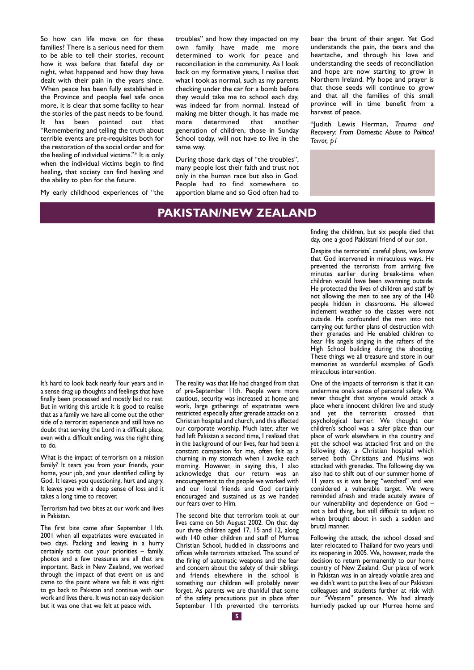So how can life move on for these families? There is a serious need for them to be able to tell their stories, recount how it was before that fateful day or night, what happened and how they have dealt with their pain in the years since. When peace has been fully established in the Province and people feel safe once more, it is clear that some facility to hear the stories of the past needs to be found. It has been pointed out that "Remembering and telling the truth about terrible events are pre-requisites both for the restoration of the social order and for the healing of individual victims."\* It is only when the individual victims begin to find healing, that society can find healing and the ability to plan for the future.

My early childhood experiences of "the

troubles" and how they impacted on my own family have made me more determined to work for peace and reconciliation in the community. As I look back on my formative years, I realise that what I took as normal, such as my parents checking under the car for a bomb before they would take me to school each day, was indeed far from normal. Instead of making me bitter though, it has made me more determined that another generation of children, those in Sunday School today, will not have to live in the same way.

During those dark days of "the troubles", many people lost their faith and trust not only in the human race but also in God. People had to find somewhere to apportion blame and so God often had to

## **PAKISTAN/NEW ZEALAND**

bear the brunt of their anger. Yet God understands the pain, the tears and the heartache, and through his love and understanding the seeds of reconciliation and hope are now starting to grow in Northern Ireland. My hope and prayer is that those seeds will continue to grow and that all the families of this small province will in time benefit from a harvest of peace.

\*Judith Lewis Herman, *Trauma and Recovery: From Domestic Abuse to Political Terror, p1*

finding the children, but six people died that day, one a good Pakistani friend of our son.

Despite the terrorists' careful plans, we know that God intervened in miraculous ways. He prevented the terrorists from arriving five minutes earlier during break-time when children would have been swarming outside. He protected the lives of children and staff by not allowing the men to see any of the 140 people hidden in classrooms. He allowed inclement weather so the classes were not outside. He confounded the men into not carrying out further plans of destruction with their grenades and He enabled children to hear His angels singing in the rafters of the High School building during the shooting. These things we all treasure and store in our memories as wonderful examples of God's miraculous intervention.

One of the impacts of terrorism is that it can undermine one's sense of personal safety. We never thought that anyone would attack a place where innocent children live and study and yet the terrorists crossed that psychological barrier. We thought our children's school was a safer place than our place of work elsewhere in the country and yet the school was attacked first and on the following day, a Christian hospital which served both Christians and Muslims was attacked with grenades. The following day we also had to shift out of our summer home of 11 years as it was being "watched" and was considered a vulnerable target. We were reminded afresh and made acutely aware of our vulnerability and dependence on  $God$ not a bad thing, but still difficult to adjust to when brought about in such a sudden and brutal manner.

Following the attack, the school closed and later relocated to Thailand for two years until its reopening in 2005. We, however, made the decision to return permanently to our home country of New Zealand. Our place of work in Pakistan was in an already volatile area and we didn't want to put the lives of our Pakistani colleagues and students further at risk with our "Western" presence. We had already hurriedly packed up our Murree home and

It's hard to look back nearly four years and in a sense drag up thoughts and feelings that have finally been processed and mostly laid to rest. But in writing this article it is good to realise that as a family we have all come out the other side of a terrorist experience and still have no doubt that serving the Lord in a difficult place, even with a difficult ending, was the right thing to do.

What is the impact of terrorism on a mission family? It tears you from your friends, your home, your job, and your identified calling by God. It leaves you questioning, hurt and angry. It leaves you with a deep sense of loss and it takes a long time to recover.

Terrorism had two bites at our work and lives in Pakistan.

The first bite came after September 11th, 2001 when all expatriates were evacuated in two days. Packing and leaving in a hurry certainly sorts out your priorities – family, photos and a few treasures are all that are important. Back in New Zealand, we worked through the impact of that event on us and came to the point where we felt it was right to go back to Pakistan and continue with our work and lives there. It was not an easy decision but it was one that we felt at peace with.

The reality was that life had changed from that of pre-September 11th. People were more cautious, security was increased at home and work, large gatherings of expatriates were restricted especially after grenade attacks on a Christian hospital and church, and this affected our corporate worship. Much later, after we had left Pakistan a second time, I realised that in the background of our lives, fear had been a constant companion for me, often felt as a churning in my stomach when I awoke each morning. However, in saying this, I also acknowledge that our return was an encouragement to the people we worked with and our local friends and God certainly encouraged and sustained us as we handed our fears over to Him.

The second bite that terrorism took at our lives came on 5th August 2002. On that day our three children aged 17, 15 and 12, along with 140 other children and staff of Murree Christian School, huddled in classrooms and offices while terrorists attacked. The sound of the firing of automatic weapons and the fear and concern about the safety of their siblings and friends elsewhere in the school is something our children will probably never forget. As parents we are thankful that some of the safety precautions put in place after September IIth prevented the terrorists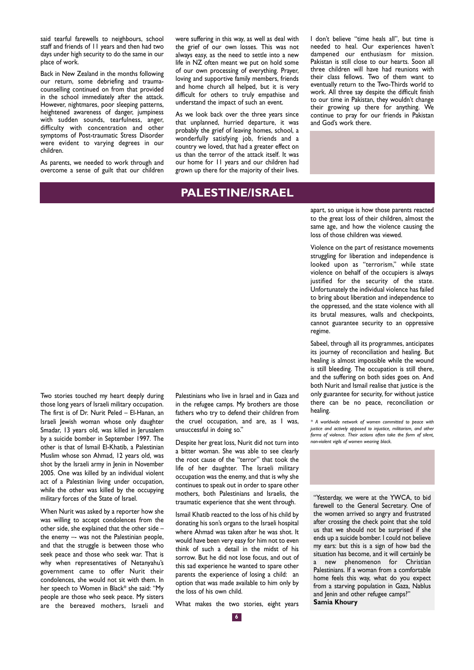said tearful farewells to neighbours, school staff and friends of 11 years and then had two days under high security to do the same in our place of work.

Back in New Zealand in the months following our return, some debriefing and traumacounselling continued on from that provided in the school immediately after the attack. However, nightmares, poor sleeping patterns, heightened awareness of danger, jumpiness with sudden sounds, tearfulness, anger, difficulty with concentration and other symptoms of Post-traumatic Stress Disorder were evident to varying degrees in our children.

As parents, we needed to work through and overcome a sense of guilt that our children were suffering in this way, as well as deal with the grief of our own losses. This was not always easy, as the need to settle into a new life in NZ often meant we put on hold some of our own processing of everything. Prayer, loving and supportive family members, friends and home church all helped, but it is very difficult for others to truly empathise and understand the impact of such an event.

As we look back over the three years since that unplanned, hurried departure, it was probably the grief of leaving homes, school, a wonderfully satisfying job, friends and a country we loved, that had a greater effect on us than the terror of the attack itself. It was our home for 11 years and our children had grown up there for the majority of their lives.

#### **PALESTINE/ISRAEL**

I don't believe "time heals all", but time is needed to heal. Our experiences haven't dampened our enthusiasm for mission. Pakistan is still close to our hearts. Soon all three children will have had reunions with their class fellows. Two of them want to eventually return to the Two-Thirds world to work. All three say despite the difficult finish to our time in Pakistan, they wouldn't change their growing up there for anything. We continue to pray for our friends in Pakistan and God's work there.

apart, so unique is how those parents reacted to the great loss of their children, almost the same age, and how the violence causing the loss of those children was viewed.

Violence on the part of resistance movements struggling for liberation and independence is looked upon as "terrorism," while state violence on behalf of the occupiers is always justified for the security of the state. Unfortunately the individual violence has failed to bring about liberation and independence to the oppressed, and the state violence with all its brutal measures, walls and checkpoints, cannot guarantee security to an oppressive regime.

Sabeel, through all its programmes, anticipates its journey of reconciliation and healing. But healing is almost impossible while the wound is still bleeding. The occupation is still there, and the suffering on both sides goes on. And both Nurit and Ismail realise that justice is the only guarantee for security, for without justice there can be no peace, reconciliation or healing.

*\* A worldwide network of women committed to peace with justice and actively opposed to injustice, militarism, and other forms of violence. Their actions often take the form of silent, non-violent vigils of women wearing black.*

"Yesterday, we were at the YWCA, to bid farewell to the General Secretary. One of the women arrived so angry and frustrated after crossing the check point that she told us that we should not be surprised if she ends up a suicide bomber. I could not believe my ears: but this is a sign of how bad the situation has become, and it will certainly be a new phenomenon for Christian Palestinians. If a woman from a comfortable home feels this way, what do you expect from a starving population in Gaza, Nablus and Jenin and other refugee camps?" **Samia Khoury** 

Two stories touched my heart deeply during those long years of Israeli military occupation. The first is of Dr. Nurit Peled – El-Hanan, an Israeli Jewish woman whose only daughter Smadar, 13 years old, was killed in Jerusalem by a suicide bomber in September 1997. The other is that of Ismail El-Khatib, a Palestinian Muslim whose son Ahmad, 12 years old, was shot by the Israeli army in Jenin in November 2005. One was killed by an individual violent act of a Palestinian living under occupation, while the other was killed by the occupying military forces of the State of Israel.

When Nurit was asked by a reporter how she was willing to accept condolences from the other side, she explained that the other side – the enemy –- was not the Palestinian people, and that the struggle is between those who seek peace and those who seek war. That is why when representatives of Netanyahu's government came to offer Nurit their condolences, she would not sit with them. In her speech to Women in Black\* she said: "My people are those who seek peace. My sisters are the bereaved mothers, Israeli and Palestinians who live in Israel and in Gaza and in the refugee camps. My brothers are those fathers who try to defend their children from the cruel occupation, and are, as I was, unsuccessful in doing so."

Despite her great loss, Nurit did not turn into a bitter woman. She was able to see clearly the root cause of the "terror" that took the life of her daughter. The Israeli military occupation was the enemy, and that is why she continues to speak out in order to spare other mothers, both Palestinians and Israelis, the traumatic experience that she went through.

Ismail Khatib reacted to the loss of his child by donating his son's organs to the Israeli hospital where Ahmad was taken after he was shot. It would have been very easy for him not to even think of such a detail in the midst of his sorrow. But he did not lose focus, and out of this sad experience he wanted to spare other parents the experience of losing a child: an option that was made available to him only by the loss of his own child.

What makes the two stories, eight years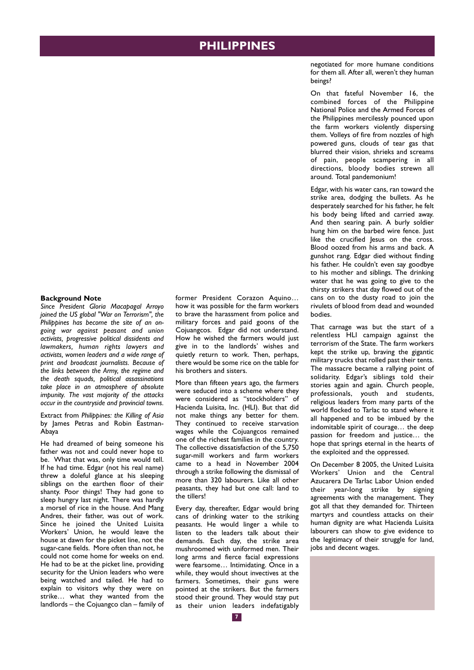#### **PHILIPPINES**

#### **Background Note**

*Since President Gloria Macapagal Arroyo joined the US global "War on Terrorism", the Philippines has become the site of an ongoing war against peasant and union activists, progressive political dissidents and lawmakers, human rights lawyers and activists, women leaders and a wide range of print and broadcast journalists. Because of the links between the Army, the regime and the death squads, political assassinations take place in an atmosphere of absolute impunity. The vast majority of the attacks occur in the countryside and provincial towns.*

Extract from *Philippines: the Killing of Asia* by James Petras and Robin Eastman-Abaya

He had dreamed of being someone his father was not and could never hope to be. What that was, only time would tell. If he had time. Edgar (not his real name) threw a doleful glance at his sleeping siblings on the earthen floor of their shanty. Poor things! They had gone to sleep hungry last night. There was hardly a morsel of rice in the house. And Mang Andres, their father, was out of work. Since he joined the United Luisita Workers' Union, he would leave the house at dawn for the picket line, not the sugar-cane fields. More often than not, he could not come home for weeks on end. He had to be at the picket line, providing security for the Union leaders who were being watched and tailed. He had to explain to visitors why they were on strike… what they wanted from the landlords – the Cojuangco clan – family of

former President Corazon Aquino… how it was possible for the farm workers to brave the harassment from police and military forces and paid goons of the Cojuangcos. Edgar did not understand. How he wished the farmers would just give in to the landlords' wishes and quietly return to work. Then, perhaps, there would be some rice on the table for his brothers and sisters.

More than fifteen years ago, the farmers were seduced into a scheme where they were considered as "stockholders" of Hacienda Luisita, Inc. (HLI). But that did not make things any better for them. They continued to receive starvation wages while the Cojuangcos remained one of the richest families in the country. The collective dissatisfaction of the 5,750 sugar-mill workers and farm workers came to a head in November 2004 through a strike following the dismissal of more than 320 labourers. Like all other peasants, they had but one call: land to the tillers!

Every day, thereafter, Edgar would bring cans of drinking water to the striking peasants. He would linger a while to listen to the leaders talk about their demands. Each day, the strike area mushroomed with uniformed men. Their long arms and fierce facial expressions were fearsome… Intimidating. Once in a while, they would shout invectives at the farmers. Sometimes, their guns were pointed at the strikers. But the farmers stood their ground. They would stay put as their union leaders indefatigably

negotiated for more humane conditions for them all. After all, weren't they human beings?

On that fateful November 16, the combined forces of the Philippine National Police and the Armed Forces of the Philippines mercilessly pounced upon the farm workers violently dispersing them. Volleys of fire from nozzles of high powered guns, clouds of tear gas that blurred their vision, shrieks and screams of pain, people scampering in all directions, bloody bodies strewn all around. Total pandemonium!

Edgar, with his water cans, ran toward the strike area, dodging the bullets. As he desperately searched for his father, he felt his body being lifted and carried away. And then searing pain. A burly soldier hung him on the barbed wire fence. Just like the crucified Jesus on the cross. Blood oozed from his arms and back. A gunshot rang. Edgar died without finding his father. He couldn't even say goodbye to his mother and siblings. The drinking water that he was going to give to the thirsty strikers that day flowed out of the cans on to the dusty road to join the rivulets of blood from dead and wounded bodies.

That carnage was but the start of a relentless HLI campaign against the terrorism of the State. The farm workers kept the strike up, braving the gigantic military trucks that rolled past their tents. The massacre became a rallying point of solidarity. Edgar's siblings told their stories again and again. Church people, professionals, youth and students, religious leaders from many parts of the world flocked to Tarlac to stand where it all happened and to be imbued by the indomitable spirit of courage… the deep passion for freedom and justice… the hope that springs eternal in the hearts of the exploited and the oppressed.

On December 8 2005, the United Luisita Workers' Union and the Central Azucarera De Tarlac Labor Union ended their year-long strike by signing agreements with the management. They got all that they demanded for. Thirteen martyrs and countless attacks on their human dignity are what Hacienda Luisita labourers can show to give evidence to the legitimacy of their struggle for land, jobs and decent wages.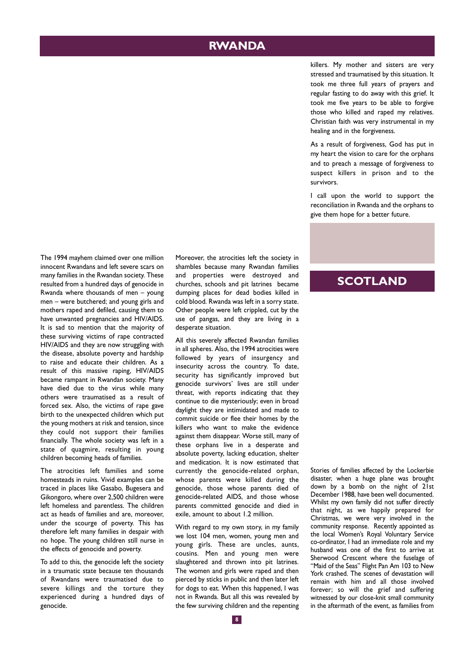## **RWANDA**

killers. My mother and sisters are very stressed and traumatised by this situation. It took me three full years of prayers and regular fasting to do away with this grief. It took me five years to be able to forgive those who killed and raped my relatives. Christian faith was very instrumental in my healing and in the forgiveness.

As a result of forgiveness, God has put in my heart the vision to care for the orphans and to preach a message of forgiveness to suspect killers in prison and to the survivors.

I call upon the world to support the reconciliation in Rwanda and the orphans to give them hope for a better future.

The 1994 mayhem claimed over one million innocent Rwandans and left severe scars on many families in the Rwandan society. These resulted from a hundred days of genocide in Rwanda where thousands of men – young men – were butchered; and young girls and mothers raped and defiled, causing them to have unwanted pregnancies and HIV/AIDS. It is sad to mention that the majority of these surviving victims of rape contracted HIV/AIDS and they are now struggling with the disease, absolute poverty and hardship to raise and educate their children. As a result of this massive raping, HIV/AIDS became rampant in Rwandan society. Many have died due to the virus while many others were traumatised as a result of forced sex. Also, the victims of rape gave birth to the unexpected children which put the young mothers at risk and tension, since they could not support their families financially. The whole society was left in a state of quagmire, resulting in young children becoming heads of families.

The atrocities left families and some homesteads in ruins. Vivid examples can be traced in places like Gasabo, Bugesera and Gikongoro, where over 2,500 children were left homeless and parentless. The children act as heads of families and are, moreover, under the scourge of poverty. This has therefore left many families in despair with no hope. The young children still nurse in the effects of genocide and poverty.

To add to this, the genocide left the society in a traumatic state because ten thousands of Rwandans were traumatised due to severe killings and the torture they experienced during a hundred days of genocide.

Moreover, the atrocities left the society in shambles because many Rwandan families and properties were destroyed and churches, schools and pit latrines became dumping places for dead bodies killed in cold blood. Rwanda was left in a sorry state. Other people were left crippled, cut by the use of pangas, and they are living in a desperate situation.

All this severely affected Rwandan families in all spheres. Also, the 1994 atrocities were followed by years of insurgency and insecurity across the country. To date, security has significantly improved but genocide survivors' lives are still under threat, with reports indicating that they continue to die mysteriously; even in broad daylight they are intimidated and made to commit suicide or flee their homes by the killers who want to make the evidence against them disappear. Worse still, many of these orphans live in a desperate and absolute poverty, lacking education, shelter and medication. It is now estimated that currently the genocide-related orphan, whose parents were killed during the genocide, those whose parents died of genocide-related AIDS, and those whose parents committed genocide and died in exile, amount to about 1.2 million.

With regard to my own story, in my family we lost 104 men, women, young men and young girls. These are uncles, aunts, cousins. Men and young men were slaughtered and thrown into pit latrines. The women and girls were raped and then pierced by sticks in public and then later left for dogs to eat. When this happened, I was not in Rwanda. But all this was revealed by the few surviving children and the repenting

#### **SCOTLAND**

Stories of families affected by the Lockerbie disaster, when a huge plane was brought down by a bomb on the night of 21st December 1988, have been well documented. Whilst my own family did not suffer directly that night, as we happily prepared for Christmas, we were very involved in the community response. Recently appointed as the local Women's Royal Voluntary Service co-ordinator, I had an immediate role and my husband was one of the first to arrive at Sherwood Crescent where the fuselage of "Maid of the Seas" Flight Pan Am 103 to New York crashed. The scenes of devastation will remain with him and all those involved forever; so will the grief and suffering witnessed by our close-knit small community in the aftermath of the event, as families from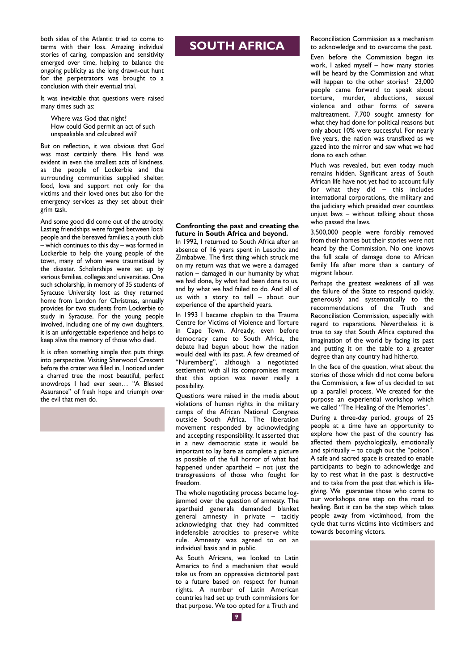both sides of the Atlantic tried to come to terms with their loss. Amazing individual stories of caring, compassion and sensitivity emerged over time, helping to balance the ongoing publicity as the long drawn-out hunt for the perpetrators was brought to a conclusion with their eventual trial.

It was inevitable that questions were raised many times such as:

Where was God that night? How could God permit an act of such unspeakable and calculated evil?

But on reflection, it was obvious that God was most certainly there. His hand was evident in even the smallest acts of kindness, as the people of Lockerbie and the surrounding communities supplied shelter, food, love and support not only for the victims and their loved ones but also for the emergency services as they set about their grim task.

And some good did come out of the atrocity. Lasting friendships were forged between local people and the bereaved families; a youth club – which continues to this day – was formed in Lockerbie to help the young people of the town, many of whom were traumatised by the disaster. Scholarships were set up by various families, colleges and universities. One such scholarship, in memory of 35 students of Syracuse University lost as they returned home from London for Christmas, annually provides for two students from Lockerbie to study in Syracuse. For the young people involved, including one of my own daughters, it is an unforgettable experience and helps to keep alive the memory of those who died.

It is often something simple that puts things into perspective. Visiting Sherwood Crescent before the crater was filled in, I noticed under a charred tree the most beautiful, perfect snowdrops I had ever seen… "A Blessed Assurance" of fresh hope and triumph over the evil that men do.

# **SOUTH AFRICA**

**Confronting the past and creating the future in South Africa and beyond.**

In 1992, I returned to South Africa after an absence of 16 years spent in Lesotho and Zimbabwe. The first thing which struck me on my return was that we were a damaged nation – damaged in our humanity by what we had done, by what had been done to us, and by what we had failed to do. And all of us with a story to tell – about our experience of the apartheid years.

In 1993 I became chaplain to the Trauma Centre for Victims of Violence and Torture in Cape Town. Already, even before democracy came to South Africa, the debate had begun about how the nation would deal with its past. A few dreamed of "Nuremberg", although a negotiated settlement with all its compromises meant that this option was never really a possibility.

Questions were raised in the media about violations of human rights in the military camps of the African National Congress outside South Africa. The liberation movement responded by acknowledging and accepting responsibility. It asserted that in a new democratic state it would be important to lay bare as complete a picture as possible of the full horror of what had happened under apartheid – not just the transgressions of those who fought for freedom.

The whole negotiating process became logjammed over the question of amnesty. The apartheid generals demanded blanket general amnesty in private – tacitly acknowledging that they had committed indefensible atrocities to preserve white rule. Amnesty was agreed to on an individual basis and in public.

As South Africans, we looked to Latin America to find a mechanism that would take us from an oppressive dictatorial past to a future based on respect for human rights. A number of Latin American countries had set up truth commissions for that purpose. We too opted for a Truth and

Reconciliation Commission as a mechanism to acknowledge and to overcome the past. Even before the Commission began its work, I asked myself – how many stories will be heard by the Commission and what will happen to the other stories? 23,000 people came forward to speak about torture, murder, abductions, sexual violence and other forms of severe maltreatment. 7,700 sought amnesty for what they had done for political reasons but only about 10% were successful. For nearly five years, the nation was transfixed as we gazed into the mirror and saw what we had done to each other.

Much was revealed, but even today much remains hidden. Significant areas of South African life have not yet had to account fully for what they did – this includes international corporations, the military and the judiciary which presided over countless unjust laws – without talking about those who passed the laws.

3,500,000 people were forcibly removed from their homes but their stories were not heard by the Commission. No one knows the full scale of damage done to African family life after more than a century of migrant labour.

Perhaps the greatest weakness of all was the failure of the State to respond quickly, generously and systematically to the recommendations of the Truth and Reconciliation Commission, especially with regard to reparations. Nevertheless it is true to say that South Africa captured the imagination of the world by facing its past and putting it on the table to a greater degree than any country had hitherto.

In the face of the question, what about the stories of those which did not come before the Commission, a few of us decided to set up a parallel process. We created for the purpose an experiential workshop which we called "The Healing of the Memories".

During a three-day period, groups of 25 people at a time have an opportunity to explore how the past of the country has affected them psychologically, emotionally and spiritually – to cough out the "poison". A safe and sacred space is created to enable participants to begin to acknowledge and lay to rest what in the past is destructive and to take from the past that which is lifegiving. We guarantee those who come to our workshops one step on the road to healing. But it can be the step which takes people away from victimhood, from the cycle that turns victims into victimisers and towards becoming victors.

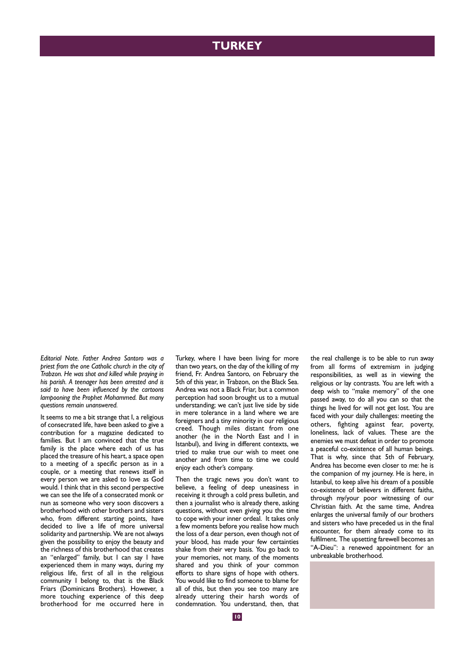#### **TURKEY**

*Editorial Note. Father Andrea Santoro was a priest from the one Catholic church in the city of Trabzon. He was shot and killed while praying in his parish. A teenager has been arrested and is said to have been influenced by the cartoons lampooning the Prophet Mohammed. But many questions remain unanswered.*

It seems to me a bit strange that I, a religious of consecrated life, have been asked to give a contribution for a magazine dedicated to families. But I am convinced that the true family is the place where each of us has placed the treasure of his heart, a space open to a meeting of a specific person as in a couple, or a meeting that renews itself in every person we are asked to love as God would. I think that in this second perspective we can see the life of a consecrated monk or nun as someone who very soon discovers a brotherhood with other brothers and sisters who, from different starting points, have decided to live a life of more universal solidarity and partnership. We are not always given the possibility to enjoy the beauty and the richness of this brotherhood that creates an "enlarged" family, but I can say I have experienced them in many ways, during my religious life, first of all in the religious community I belong to, that is the Black Friars (Dominicans Brothers). However, a more touching experience of this deep brotherhood for me occurred here in Turkey, where I have been living for more than two years, on the day of the killing of my friend, Fr. Andrea Santoro, on February the 5th of this year, in Trabzon, on the Black Sea. Andrea was not a Black Friar, but a common perception had soon brought us to a mutual understanding; we can't just live side by side in mere tolerance in a land where we are foreigners and a tiny minority in our religious creed. Though miles distant from one another (he in the North East and I in Istanbul), and living in different contexts, we tried to make true our wish to meet one another and from time to time we could enjoy each other's company.

Then the tragic news you don't want to believe, a feeling of deep uneasiness in receiving it through a cold press bulletin, and then a journalist who is already there, asking questions, without even giving you the time to cope with your inner ordeal. It takes only a few moments before you realise how much the loss of a dear person, even though not of your blood, has made your few certainties shake from their very basis. You go back to your memories, not many, of the moments shared and you think of your common efforts to share signs of hope with others. You would like to find someone to blame for all of this, but then you see too many are already uttering their harsh words of condemnation. You understand, then, that the real challenge is to be able to run away from all forms of extremism in judging responsibilities, as well as in viewing the religious or lay contrasts. You are left with a deep wish to "make memory" of the one passed away, to do all you can so that the things he lived for will not get lost. You are faced with your daily challenges: meeting the others, fighting against fear, poverty, loneliness, lack of values. These are the enemies we must defeat in order to promote a peaceful co-existence of all human beings. That is why, since that 5th of February, Andrea has become even closer to me: he is the companion of my journey. He is here, in Istanbul, to keep alive his dream of a possible co-existence of believers in different faiths, through my/your poor witnessing of our Christian faith. At the same time, Andrea enlarges the universal family of our brothers and sisters who have preceded us in the final encounter, for them already come to its fulfilment. The upsetting farewell becomes an "A-Dieu": a renewed appointment for an unbreakable brotherhood.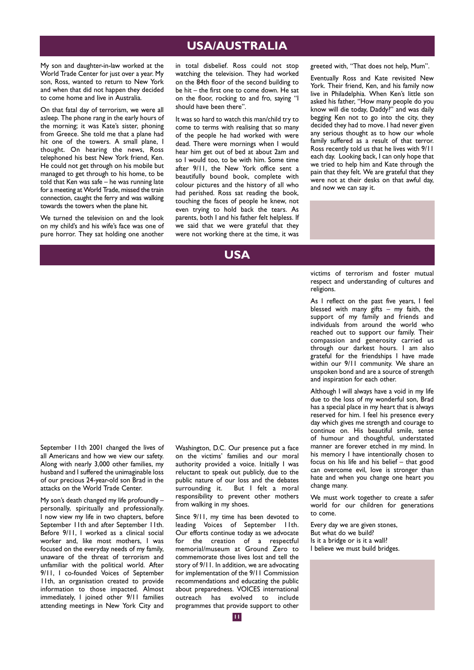#### **USA/AUSTRALIA**

My son and daughter-in-law worked at the World Trade Center for just over a year. My son, Ross, wanted to return to New York and when that did not happen they decided to come home and live in Australia.

On that fatal day of terrorism, we were all asleep. The phone rang in the early hours of the morning; it was Kate's sister, phoning from Greece. She told me that a plane had hit one of the towers. A small plane, I thought. On hearing the news, Ross telephoned his best New York friend, Ken. He could not get through on his mobile but managed to get through to his home, to be told that Ken was safe – he was running late for a meeting at World Trade, missed the train connection, caught the ferry and was walking towards the towers when the plane hit.

We turned the television on and the look on my child's and his wife's face was one of pure horror. They sat holding one another in total disbelief. Ross could not stop watching the television. They had worked on the 84th floor of the second building to be hit – the first one to come down. He sat on the floor, rocking to and fro, saying "I should have been there".

It was so hard to watch this man/child try to come to terms with realising that so many of the people he had worked with were dead. There were mornings when I would hear him get out of bed at about 2am and so I would too, to be with him. Some time after 9/11, the New York office sent a beautifully bound book, complete with colour pictures and the history of all who had perished. Ross sat reading the book, touching the faces of people he knew, not even trying to hold back the tears. As parents, both I and his father felt helpless. If we said that we were grateful that they were not working there at the time, it was

#### **USA**

greeted with, "That does not help, Mum".

Eventually Ross and Kate revisited New York. Their friend, Ken, and his family now live in Philadelphia. When Ken's little son asked his father, "How many people do you know will die today, Daddy?" and was daily begging Ken not to go into the city, they decided they had to move. I had never given any serious thought as to how our whole family suffered as a result of that terror. Ross recently told us that he lives with 9/11 each day. Looking back, I can only hope that we tried to help him and Kate through the pain that they felt. We are grateful that they were not at their desks on that awful day, and now we can say it.

victims of terrorism and foster mutual respect and understanding of cultures and religions.

As I reflect on the past five years, I feel blessed with many  $g$ ifts – my faith, the support of my family and friends and individuals from around the world who reached out to support our family. Their compassion and generosity carried us through our darkest hours. I am also grateful for the friendships I have made within our 9/11 community. We share an unspoken bond and are a source of strength and inspiration for each other.

Although I will always have a void in my life due to the loss of my wonderful son, Brad has a special place in my heart that is always reserved for him. I feel his presence every day which gives me strength and courage to continue on. His beautiful smile, sense of humour and thoughtful, understated manner are forever etched in my mind. In his memory I have intentionally chosen to focus on his life and his belief – that good can overcome evil, love is stronger than hate and when you change one heart you change many.

We must work together to create a safer world for our children for generations to come.

Every day we are given stones, But what do we build? Is it a bridge or is it a wall? I believe we must build bridges.

September 11th 2001 changed the lives of all Americans and how we view our safety. Along with nearly 3,000 other families, my husband and I suffered the unimaginable loss of our precious 24-year-old son Brad in the attacks on the World Trade Center.

My son's death changed my life profoundly – personally, spiritually and professionally. I now view my life in two chapters, before September 11th and after September 11th. Before 9/11, I worked as a clinical social worker and, like most mothers, I was focused on the everyday needs of my family, unaware of the threat of terrorism and unfamiliar with the political world. After 9/11, I co-founded Voices of September 11th, an organisation created to provide information to those impacted. Almost immediately, I joined other 9/11 families attending meetings in New York City and Washington, D.C. Our presence put a face on the victims' families and our moral authority provided a voice. Initially I was reluctant to speak out publicly, due to the public nature of our loss and the debates<br>surrounding it. But I felt a moral But I felt a moral responsibility to prevent other mothers from walking in my shoes.

Since 9/11, my time has been devoted to leading Voices of September 11th. Our efforts continue today as we advocate for the creation of a respectful memorial/museum at Ground Zero to commemorate those lives lost and tell the story of 9/11. In addition, we are advocating for implementation of the 9/11 Commission recommendations and educating the public about preparedness. VOICES international outreach has evolved to include programmes that provide support to other